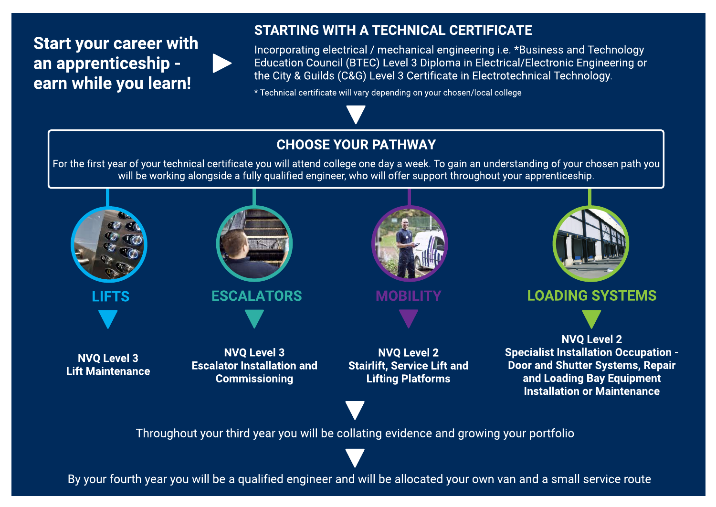## Start your career with an apprenticeship earn while you learn!

#### STARTING WITH A TECHNICAL CERTIFICATE

Incorporating electrical / mechanical engineering i.e. \*Business and Technology Education Council (BTEC) Level 3 Diploma in Electrical/Electronic Engineering or the City & Guilds (C&G) Level 3 Certificate in Electrotechnical Technology.

\* Technical certificate will vary depending on your chosen/local college

#### CHOOSEYOUR PATHWAY

For the first year of your technical certificate you will attend college one day a week. To gain an understanding of your chosen path you will be working alongside a fully qualified engineer, who will offer support throughout your apprenticeship.